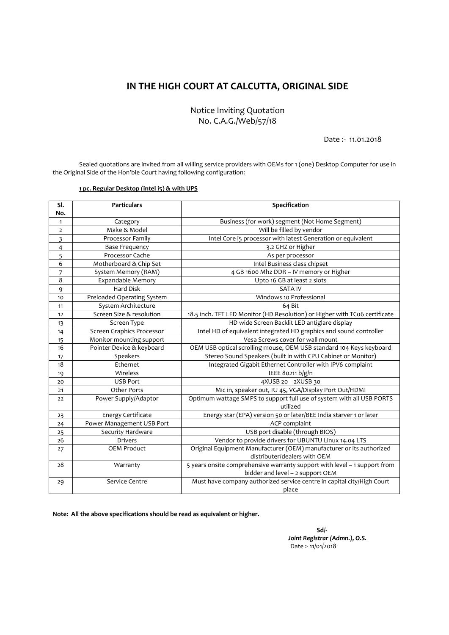## **IN THE HIGH COURT AT CALCUTTA, ORIGINAL SIDE**

Notice Inviting Quotation No. C.A.G./Web/57/18

Date :‐ 11.01.2018

Sealed quotations are invited from all willing service providers with OEMs for 1 (one) Desktop Computer for use in the Original Side of the Hon'ble Court having following configuration:

## **pc. Regular Desktop (intel i5) & with UPS**

| SI.            | <b>Particulars</b>         | Specification                                                              |
|----------------|----------------------------|----------------------------------------------------------------------------|
| No.            |                            |                                                                            |
| $\mathbf{1}$   | Category                   | Business (for work) segment (Not Home Segment)                             |
| $\overline{2}$ | Make & Model               | Will be filled by vendor                                                   |
| 3              | Processor Family           | Intel Core i5 processor with latest Generation or equivalent               |
| 4              | <b>Base Frequency</b>      | 3.2 GHZ or Higher                                                          |
| 5              | Processor Cache            | As per processor                                                           |
| 6              | Motherboard & Chip Set     | Intel Business class chipset                                               |
| 7              | System Memory (RAM)        | 4 GB 1600 Mhz DDR - IV memory or Higher                                    |
| 8              | Expandable Memory          | Upto 16 GB at least 2 slots                                                |
| 9              | <b>Hard Disk</b>           | <b>SATA IV</b>                                                             |
| 10             | Preloaded Operating System | Windows 10 Professional                                                    |
| 11             | System Architecture        | 64 Bit                                                                     |
| 12             | Screen Size & resolution   | 18.5 inch. TFT LED Monitor (HD Resolution) or Higher with TCo6 certificate |
| 13             | Screen Type                | HD wide Screen Backlit LED antiglare display                               |
| 14             | Screen Graphics Processor  | Intel HD of equivalent integrated HD graphics and sound controller         |
| 15             | Monitor mounting support   | Vesa Screws cover for wall mount                                           |
| 16             | Pointer Device & keyboard  | OEM USB optical scrolling mouse, OEM USB standard 104 Keys keyboard        |
| 17             | Speakers                   | Stereo Sound Speakers (built in with CPU Cabinet or Monitor)               |
| 18             | Ethernet                   | Integrated Gigabit Ethernet Controller with IPV6 complaint                 |
| 19             | Wireless                   | IEEE 80211 b/g/n                                                           |
| 20             | <b>USB Port</b>            | 4XUSB 20 2XUSB 30                                                          |
| 21             | <b>Other Ports</b>         | Mic in, speaker out, RJ 45, VGA/Display Port Out/HDMI                      |
| 22             | Power Supply/Adaptor       | Optimum wattage SMPS to support full use of system with all USB PORTS      |
|                |                            | utilized                                                                   |
| 23             | Energy Certificate         | Energy star (EPA) version 50 or later/BEE India starver 1 or later         |
| 24             | Power Management USB Port  | ACP complaint                                                              |
| 25             | Security Hardware          | USB port disable (through BIOS)                                            |
| 26             | <b>Drivers</b>             | Vendor to provide drivers for UBUNTU Linux 14.04 LTS                       |
| 27             | <b>OEM Product</b>         | Original Equipment Manufacturer (OEM) manufacturer or its authorized       |
|                |                            | distributer/dealers with OEM                                               |
| 28             | Warranty                   | 5 years onsite comprehensive warranty support with level - 1 support from  |
|                |                            | bidder and level - 2 support OEM                                           |
| 29             | Service Centre             | Must have company authorized service centre in capital city/High Court     |
|                |                            | place                                                                      |

**Note: All the above specifications should be read as equivalent or higher.**

 $S$ d/ $\cdot$  *Joint Registrar (Admn.), O.S.*  Date :‐ 11/01/2018